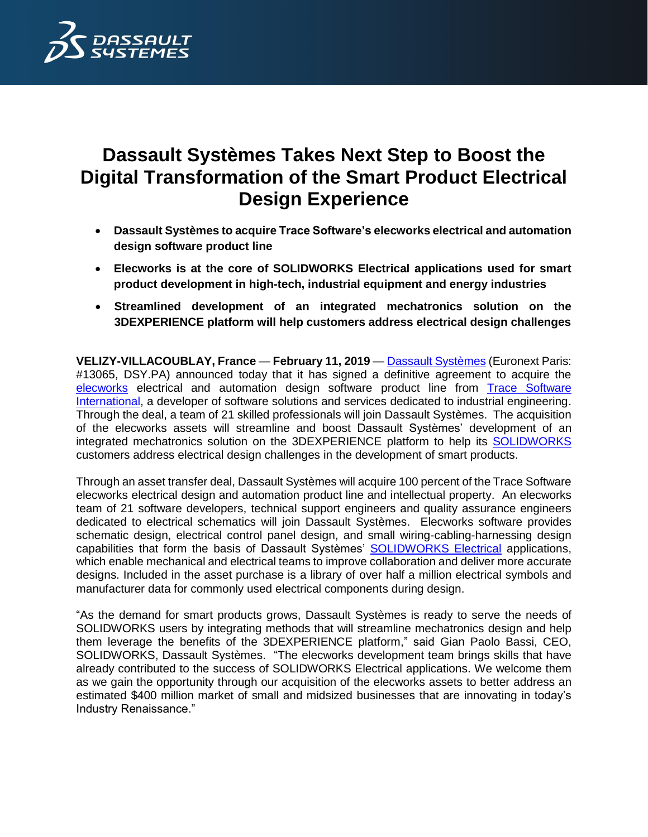

# **Dassault Systèmes Takes Next Step to Boost the Digital Transformation of the Smart Product Electrical Design Experience**

- **Dassault Systèmes to acquire Trace Software's elecworks electrical and automation design software product line**
- **Elecworks is at the core of SOLIDWORKS Electrical applications used for smart product development in high-tech, industrial equipment and energy industries**
- **Streamlined development of an integrated mechatronics solution on the 3DEXPERIENCE platform will help customers address electrical design challenges**

**VELIZY-VILLACOUBLAY, France** — **February 11, 2019** — [Dassault Systèmes](http://www.3ds.com/) (Euronext Paris: #13065, DSY.PA) announced today that it has signed a definitive agreement to acquire the [elecworks](https://www.trace-software.com/elecworks/electrical-design-software/) electrical and automation design software product line from [Trace Software](https://www.trace-software.com/)  [International,](https://www.trace-software.com/) a developer of software solutions and services dedicated to industrial engineering. Through the deal, a team of 21 skilled professionals will join Dassault Systèmes. The acquisition of the elecworks assets will streamline and boost Dassault Systèmes' development of an integrated mechatronics solution on the 3DEXPERIENCE platform to help its [SOLIDWORKS](https://www.3ds.com/products-services/solidworks/) customers address electrical design challenges in the development of smart products.

Through an asset transfer deal, Dassault Systèmes will acquire 100 percent of the Trace Software elecworks electrical design and automation product line and intellectual property. An elecworks team of 21 software developers, technical support engineers and quality assurance engineers dedicated to electrical schematics will join Dassault Systèmes. Elecworks software provides schematic design, electrical control panel design, and small wiring-cabling-harnessing design capabilities that form the basis of Dassault Systèmes' [SOLIDWORKS Electrical](https://www.solidworks.com/category/electrical-design) applications, which enable mechanical and electrical teams to improve collaboration and deliver more accurate designs. Included in the asset purchase is a library of over half a million electrical symbols and manufacturer data for commonly used electrical components during design.

"As the demand for smart products grows, Dassault Systèmes is ready to serve the needs of SOLIDWORKS users by integrating methods that will streamline mechatronics design and help them leverage the benefits of the 3DEXPERIENCE platform," said Gian Paolo Bassi, CEO, SOLIDWORKS, Dassault Systèmes. "The elecworks development team brings skills that have already contributed to the success of SOLIDWORKS Electrical applications. We welcome them as we gain the opportunity through our acquisition of the elecworks assets to better address an estimated \$400 million market of small and midsized businesses that are innovating in today's Industry Renaissance."